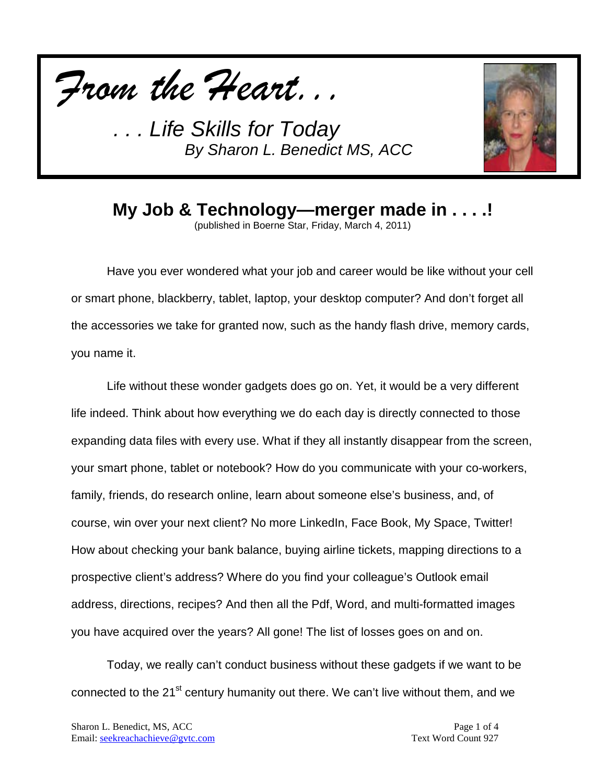



## **My Job & Technology—merger made in . . . .!**

(published in Boerne Star, Friday, March 4, 2011)

Have you ever wondered what your job and career would be like without your cell or smart phone, blackberry, tablet, laptop, your desktop computer? And don't forget all the accessories we take for granted now, such as the handy flash drive, memory cards, you name it.

Life without these wonder gadgets does go on. Yet, it would be a very different life indeed. Think about how everything we do each day is directly connected to those expanding data files with every use. What if they all instantly disappear from the screen, your smart phone, tablet or notebook? How do you communicate with your co-workers, family, friends, do research online, learn about someone else's business, and, of course, win over your next client? No more LinkedIn, Face Book, My Space, Twitter! How about checking your bank balance, buying airline tickets, mapping directions to a prospective client's address? Where do you find your colleague's Outlook email address, directions, recipes? And then all the Pdf, Word, and multi-formatted images you have acquired over the years? All gone! The list of losses goes on and on.

Today, we really can't conduct business without these gadgets if we want to be connected to the 21<sup>st</sup> century humanity out there. We can't live without them, and we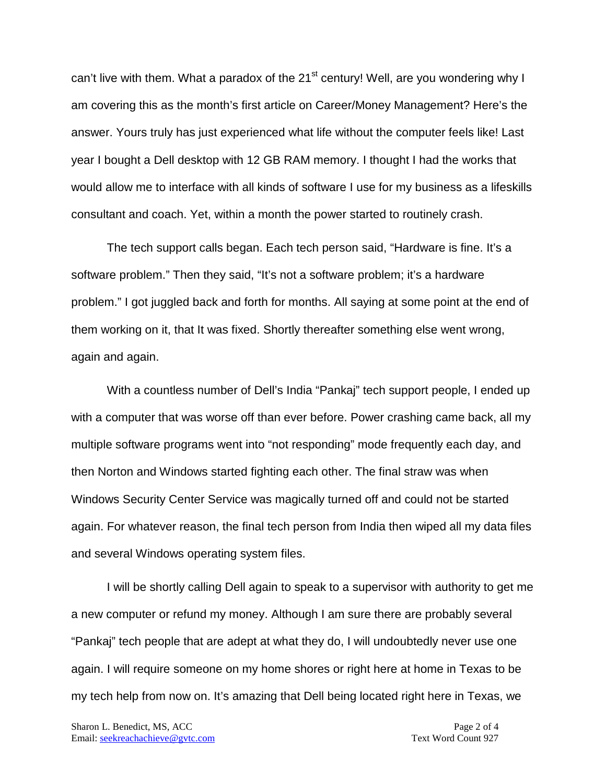can't live with them. What a paradox of the 21<sup>st</sup> century! Well, are you wondering why I am covering this as the month's first article on Career/Money Management? Here's the answer. Yours truly has just experienced what life without the computer feels like! Last year I bought a Dell desktop with 12 GB RAM memory. I thought I had the works that would allow me to interface with all kinds of software I use for my business as a lifeskills consultant and coach. Yet, within a month the power started to routinely crash.

The tech support calls began. Each tech person said, "Hardware is fine. It's a software problem." Then they said, "It's not a software problem; it's a hardware problem." I got juggled back and forth for months. All saying at some point at the end of them working on it, that It was fixed. Shortly thereafter something else went wrong, again and again.

With a countless number of Dell's India "Pankaj" tech support people, I ended up with a computer that was worse off than ever before. Power crashing came back, all my multiple software programs went into "not responding" mode frequently each day, and then Norton and Windows started fighting each other. The final straw was when Windows Security Center Service was magically turned off and could not be started again. For whatever reason, the final tech person from India then wiped all my data files and several Windows operating system files.

I will be shortly calling Dell again to speak to a supervisor with authority to get me a new computer or refund my money. Although I am sure there are probably several "Pankaj" tech people that are adept at what they do, I will undoubtedly never use one again. I will require someone on my home shores or right here at home in Texas to be my tech help from now on. It's amazing that Dell being located right here in Texas, we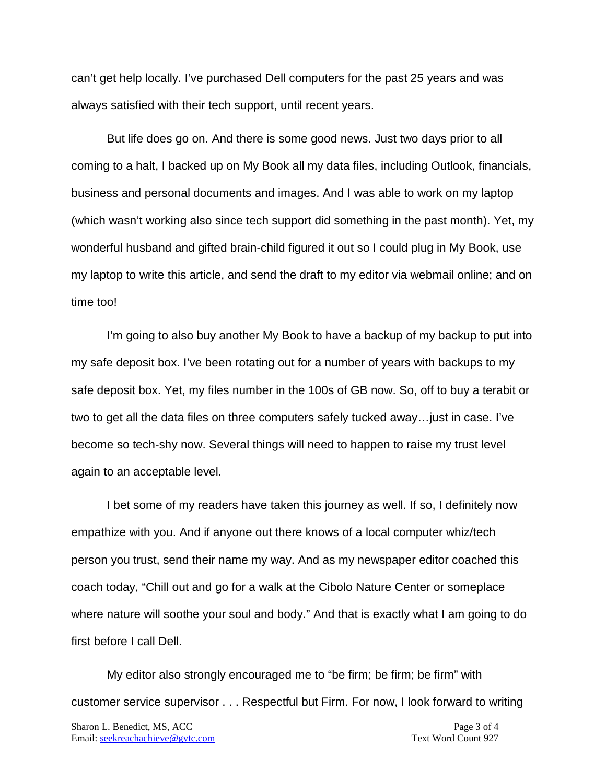can't get help locally. I've purchased Dell computers for the past 25 years and was always satisfied with their tech support, until recent years.

But life does go on. And there is some good news. Just two days prior to all coming to a halt, I backed up on My Book all my data files, including Outlook, financials, business and personal documents and images. And I was able to work on my laptop (which wasn't working also since tech support did something in the past month). Yet, my wonderful husband and gifted brain-child figured it out so I could plug in My Book, use my laptop to write this article, and send the draft to my editor via webmail online; and on time too!

I'm going to also buy another My Book to have a backup of my backup to put into my safe deposit box. I've been rotating out for a number of years with backups to my safe deposit box. Yet, my files number in the 100s of GB now. So, off to buy a terabit or two to get all the data files on three computers safely tucked away…just in case. I've become so tech-shy now. Several things will need to happen to raise my trust level again to an acceptable level.

I bet some of my readers have taken this journey as well. If so, I definitely now empathize with you. And if anyone out there knows of a local computer whiz/tech person you trust, send their name my way. And as my newspaper editor coached this coach today, "Chill out and go for a walk at the Cibolo Nature Center or someplace where nature will soothe your soul and body." And that is exactly what I am going to do first before I call Dell.

My editor also strongly encouraged me to "be firm; be firm; be firm" with customer service supervisor . . . Respectful but Firm. For now, I look forward to writing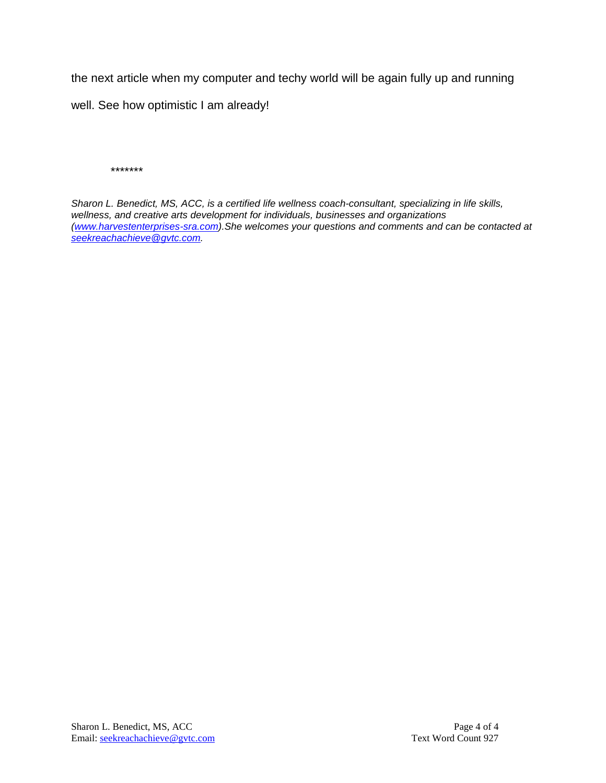the next article when my computer and techy world will be again fully up and running

well. See how optimistic I am already!

*\*\*\*\*\*\*\**

*Sharon L. Benedict, MS, ACC, is a certified life wellness coach-consultant, specializing in life skills, wellness, and creative arts development for individuals, businesses and organizations [\(www.harvestenterprises-sra.com\)](http://www.harvestenterprises-sra.com/).She welcomes your questions and comments and can be contacted at [seekreachachieve@gvtc.com.](mailto:seekreachachieve@gvtc.com)*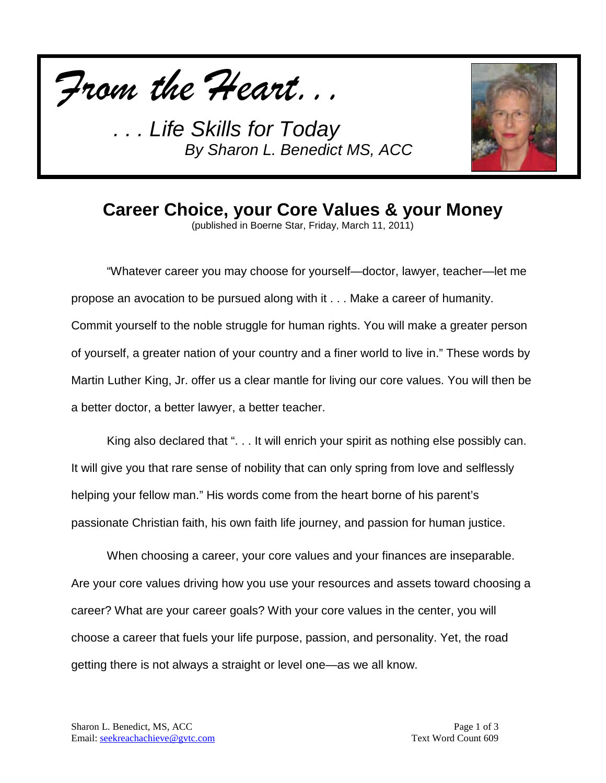



**Career Choice, your Core Values & your Money**

(published in Boerne Star, Friday, March 11, 2011)

"Whatever career you may choose for yourself—doctor, lawyer, teacher—let me propose an avocation to be pursued along with it . . . Make a career of humanity. Commit yourself to the noble struggle for human rights. You will make a greater person of yourself, a greater nation of your country and a finer world to live in." These words by Martin Luther King, Jr. offer us a clear mantle for living our core values. You will then be a better doctor, a better lawyer, a better teacher.

King also declared that "... It will enrich your spirit as nothing else possibly can. It will give you that rare sense of nobility that can only spring from love and selflessly helping your fellow man." His words come from the heart borne of his parent's passionate Christian faith, his own faith life journey, and passion for human justice.

When choosing a career, your core values and your finances are inseparable. Are your core values driving how you use your resources and assets toward choosing a career? What are your career goals? With your core values in the center, you will choose a career that fuels your life purpose, passion, and personality. Yet, the road getting there is not always a straight or level one—as we all know.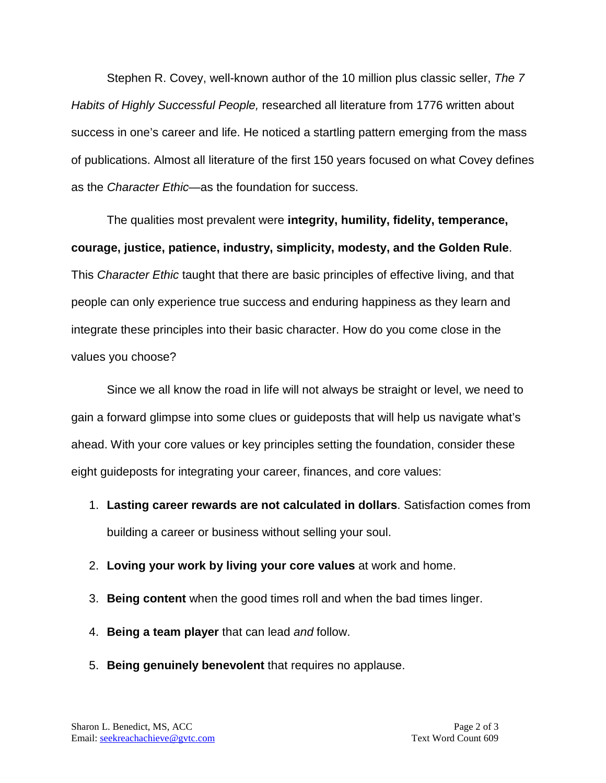Stephen R. Covey, well-known author of the 10 million plus classic seller, *The 7 Habits of Highly Successful People,* researched all literature from 1776 written about success in one's career and life. He noticed a startling pattern emerging from the mass of publications. Almost all literature of the first 150 years focused on what Covey defines as the *Character Ethic—*as the foundation for success.

The qualities most prevalent were **integrity, humility, fidelity, temperance, courage, justice, patience, industry, simplicity, modesty, and the Golden Rule**. This *Character Ethic* taught that there are basic principles of effective living, and that people can only experience true success and enduring happiness as they learn and integrate these principles into their basic character. How do you come close in the values you choose?

Since we all know the road in life will not always be straight or level, we need to gain a forward glimpse into some clues or guideposts that will help us navigate what's ahead. With your core values or key principles setting the foundation, consider these eight guideposts for integrating your career, finances, and core values:

- 1. **Lasting career rewards are not calculated in dollars**. Satisfaction comes from building a career or business without selling your soul.
- 2. **Loving your work by living your core values** at work and home.
- 3. **Being content** when the good times roll and when the bad times linger.
- 4. **Being a team player** that can lead *and* follow.
- 5. **Being genuinely benevolent** that requires no applause.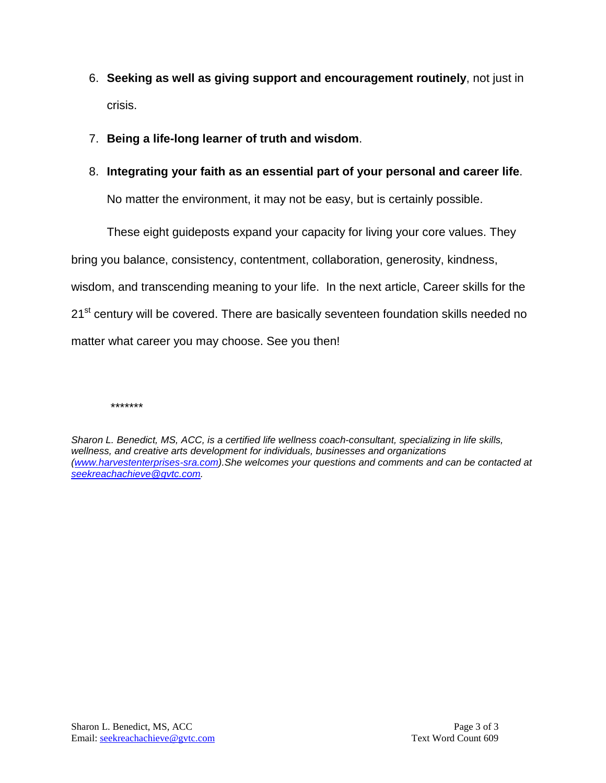- 6. **Seeking as well as giving support and encouragement routinely**, not just in crisis.
- 7. **Being a life-long learner of truth and wisdom**.
- 8. **Integrating your faith as an essential part of your personal and career life**.

No matter the environment, it may not be easy, but is certainly possible.

These eight guideposts expand your capacity for living your core values. They bring you balance, consistency, contentment, collaboration, generosity, kindness, wisdom, and transcending meaning to your life. In the next article, Career skills for the 21<sup>st</sup> century will be covered. There are basically seventeen foundation skills needed no matter what career you may choose. See you then!

*\*\*\*\*\*\*\**

*Sharon L. Benedict, MS, ACC, is a certified life wellness coach-consultant, specializing in life skills, wellness, and creative arts development for individuals, businesses and organizations [\(www.harvestenterprises-sra.com\)](http://www.harvestenterprises-sra.com/).She welcomes your questions and comments and can be contacted at [seekreachachieve@gvtc.com.](mailto:seekreachachieve@gvtc.com)*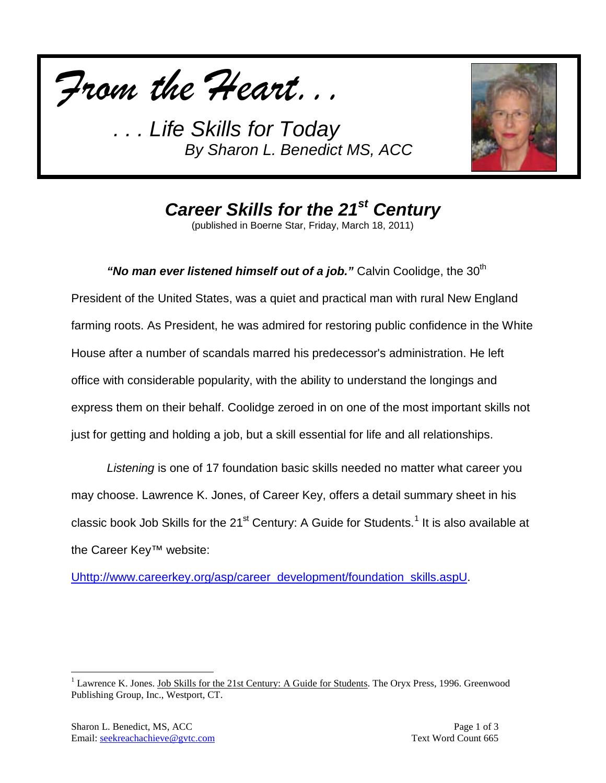



*Career Skills for the 21st Century*

(published in Boerne Star, Friday, March 18, 2011)

"**No man ever listened himself out of a job.**" Calvin Coolidge, the 30<sup>th</sup> President of the United States, was a quiet and practical man with rural New England farming roots. As President, he was admired for restoring public confidence in the White House after a number of scandals marred his predecessor's administration. He left office with considerable popularity, with the ability to understand the longings and express them on their behalf. Coolidge zeroed in on one of the most important skills not just for getting and holding a job, but a skill essential for life and all relationships.

*Listening* is one of 17 foundation basic skills needed no matter what career you may choose. Lawrence K. Jones, of Career Key, offers a detail summary sheet in his classic book Job Skills for the 2[1](#page-7-0)<sup>st</sup> Century: A Guide for Students.<sup>1</sup> It is also available at the Career Key™ website:

[Uhttp://www.careerkey.org/asp/career\\_development/foundation\\_skills.aspU.](http://www.careerkey.org/asp/career_development/foundation_skills.asp)

<span id="page-7-0"></span><sup>&</sup>lt;sup>1</sup> Lawrence K. Jones. Job Skills for the 21st Century: A Guide for Students. The Oryx Press, 1996. Greenwood Publishing Group, Inc., Westport, CT.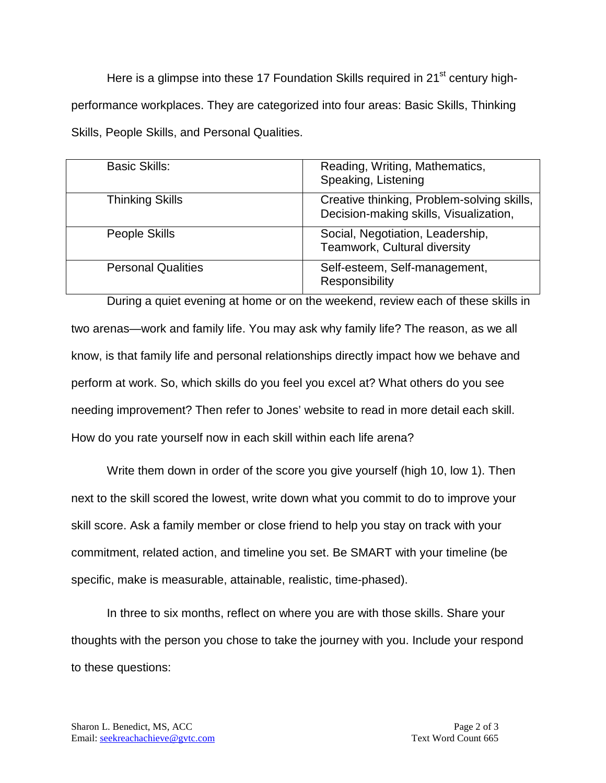Here is a glimpse into these 17 Foundation Skills required in 21<sup>st</sup> century highperformance workplaces. They are categorized into four areas: Basic Skills, Thinking Skills, People Skills, and Personal Qualities.

| <b>Basic Skills:</b>      | Reading, Writing, Mathematics,<br>Speaking, Listening                                |
|---------------------------|--------------------------------------------------------------------------------------|
| <b>Thinking Skills</b>    | Creative thinking, Problem-solving skills,<br>Decision-making skills, Visualization, |
| People Skills             | Social, Negotiation, Leadership,<br>Teamwork, Cultural diversity                     |
| <b>Personal Qualities</b> | Self-esteem, Self-management,<br>Responsibility                                      |

During a quiet evening at home or on the weekend, review each of these skills in two arenas—work and family life. You may ask why family life? The reason, as we all know, is that family life and personal relationships directly impact how we behave and perform at work. So, which skills do you feel you excel at? What others do you see needing improvement? Then refer to Jones' website to read in more detail each skill. How do you rate yourself now in each skill within each life arena?

Write them down in order of the score you give yourself (high 10, low 1). Then next to the skill scored the lowest, write down what you commit to do to improve your skill score. Ask a family member or close friend to help you stay on track with your commitment, related action, and timeline you set. Be SMART with your timeline (be specific, make is measurable, attainable, realistic, time-phased).

In three to six months, reflect on where you are with those skills. Share your thoughts with the person you chose to take the journey with you. Include your respond to these questions: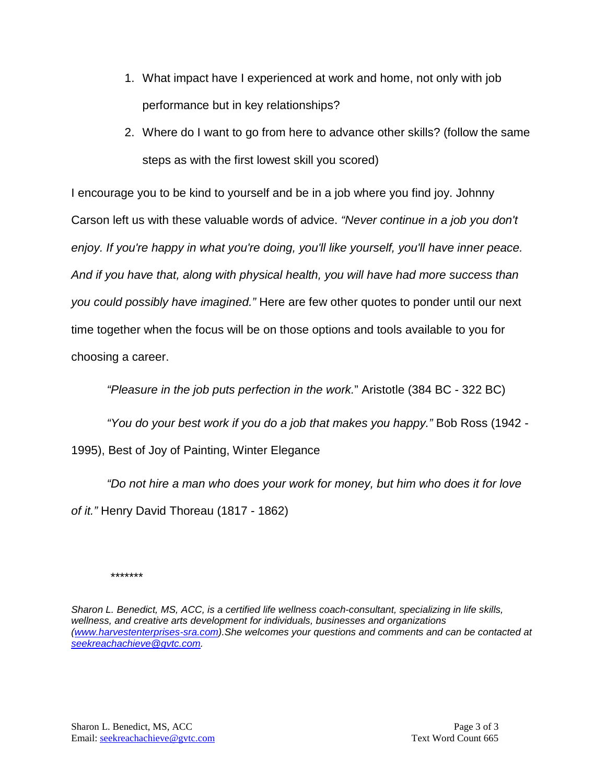- 1. What impact have I experienced at work and home, not only with job performance but in key relationships?
- 2. Where do I want to go from here to advance other skills? (follow the same steps as with the first lowest skill you scored)

I encourage you to be kind to yourself and be in a job where you find joy. Johnny Carson left us with these valuable words of advice. *"Never continue in a job you don't enjoy. If you're happy in what you're doing, you'll like yourself, you'll have inner peace. And if you have that, along with physical health, you will have had more success than you could possibly have imagined."* Here are few other quotes to ponder until our next time together when the focus will be on those options and tools available to you for choosing a career.

*"Pleasure in the job puts perfection in the work.*" Aristotle (384 BC - 322 BC)

*"You do your best work if you do a job that makes you happy."* Bob Ross (1942 -

1995), Best of Joy of Painting, Winter Elegance

*"Do not hire a man who does your work for money, but him who does it for love of it."* Henry David Thoreau (1817 - 1862)

*\*\*\*\*\*\*\**

*Sharon L. Benedict, MS, ACC, is a certified life wellness coach-consultant, specializing in life skills, wellness, and creative arts development for individuals, businesses and organizations [\(www.harvestenterprises-sra.com\)](http://www.harvestenterprises-sra.com/).She welcomes your questions and comments and can be contacted at [seekreachachieve@gvtc.com.](mailto:seekreachachieve@gvtc.com)*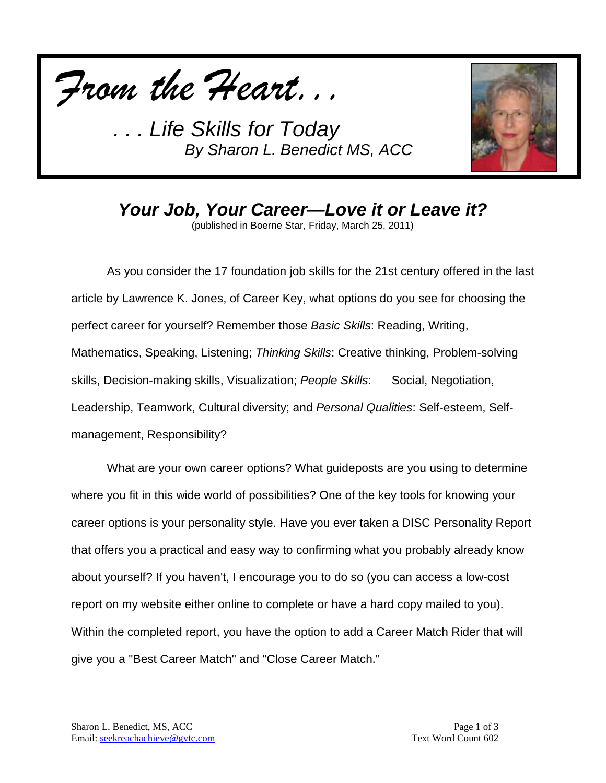



*Your Job, Your Career—Love it or Leave it?*

(published in Boerne Star, Friday, March 25, 2011)

As you consider the 17 foundation job skills for the 21st century offered in the last article by Lawrence K. Jones, of Career Key, what options do you see for choosing the perfect career for yourself? Remember those *Basic Skills*: Reading, Writing, Mathematics, Speaking, Listening; *Thinking Skills*: Creative thinking, Problem-solving skills, Decision-making skills, Visualization; *People Skills*: Social, Negotiation, Leadership, Teamwork, Cultural diversity; and *Personal Qualities*: Self-esteem, Selfmanagement, Responsibility?

What are your own career options? What guideposts are you using to determine where you fit in this wide world of possibilities? One of the key tools for knowing your career options is your personality style. Have you ever taken a DISC Personality Report that offers you a practical and easy way to confirming what you probably already know about yourself? If you haven't, I encourage you to do so (you can access a low-cost report on my website either online to complete or have a hard copy mailed to you). Within the completed report, you have the option to add a Career Match Rider that will give you a "Best Career Match" and "Close Career Match."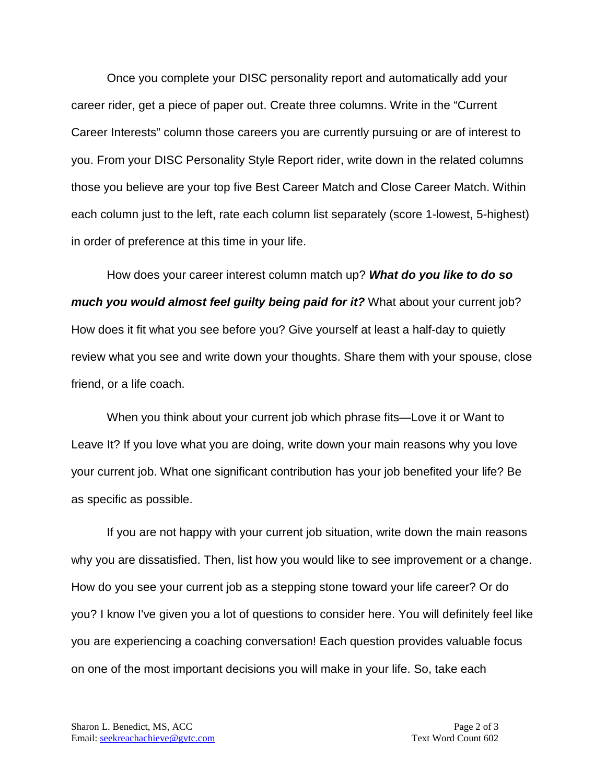Once you complete your DISC personality report and automatically add your career rider, get a piece of paper out. Create three columns. Write in the "Current Career Interests" column those careers you are currently pursuing or are of interest to you. From your DISC Personality Style Report rider, write down in the related columns those you believe are your top five Best Career Match and Close Career Match. Within each column just to the left, rate each column list separately (score 1-lowest, 5-highest) in order of preference at this time in your life.

How does your career interest column match up? *What do you like to do so much you would almost feel guilty being paid for it?* What about your current job? How does it fit what you see before you? Give yourself at least a half-day to quietly review what you see and write down your thoughts. Share them with your spouse, close friend, or a life coach.

When you think about your current job which phrase fits—Love it or Want to Leave It? If you love what you are doing, write down your main reasons why you love your current job. What one significant contribution has your job benefited your life? Be as specific as possible.

If you are not happy with your current job situation, write down the main reasons why you are dissatisfied. Then, list how you would like to see improvement or a change. How do you see your current job as a stepping stone toward your life career? Or do you? I know I've given you a lot of questions to consider here. You will definitely feel like you are experiencing a coaching conversation! Each question provides valuable focus on one of the most important decisions you will make in your life. So, take each